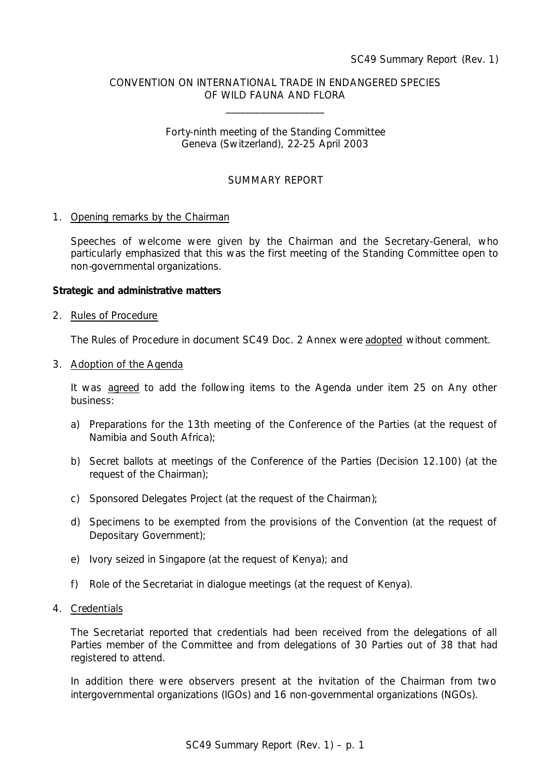# CONVENTION ON INTERNATIONAL TRADE IN ENDANGERED SPECIES OF WILD FAUNA AND FLORA

\_\_\_\_\_\_\_\_\_\_\_\_\_\_\_\_\_\_\_\_

## Forty-ninth meeting of the Standing Committee Geneva (Switzerland), 22-25 April 2003

# SUMMARY REPORT

#### 1. Opening remarks by the Chairman

Speeches of welcome were given by the Chairman and the Secretary-General, who particularly emphasized that this was the first meeting of the Standing Committee open to non-governmental organizations.

#### **Strategic and administrative matters**

#### 2. Rules of Procedure

The Rules of Procedure in document SC49 Doc. 2 Annex were adopted without comment.

#### 3. Adoption of the Agenda

It was agreed to add the following items to the Agenda under item 25 on Any other business:

- a) Preparations for the 13th meeting of the Conference of the Parties (at the request of Namibia and South Africa);
- b) Secret ballots at meetings of the Conference of the Parties (Decision 12.100) (at the request of the Chairman);
- c) Sponsored Delegates Project (at the request of the Chairman);
- d) Specimens to be exempted from the provisions of the Convention (at the request of Depositary Government);
- e) Ivory seized in Singapore (at the request of Kenya); and
- f) Role of the Secretariat in dialogue meetings (at the request of Kenya).

## 4. Credentials

The Secretariat reported that credentials had been received from the delegations of all Parties member of the Committee and from delegations of 30 Parties out of 38 that had registered to attend.

In addition there were observers present at the invitation of the Chairman from two intergovernmental organizations (IGOs) and 16 non-governmental organizations (NGOs).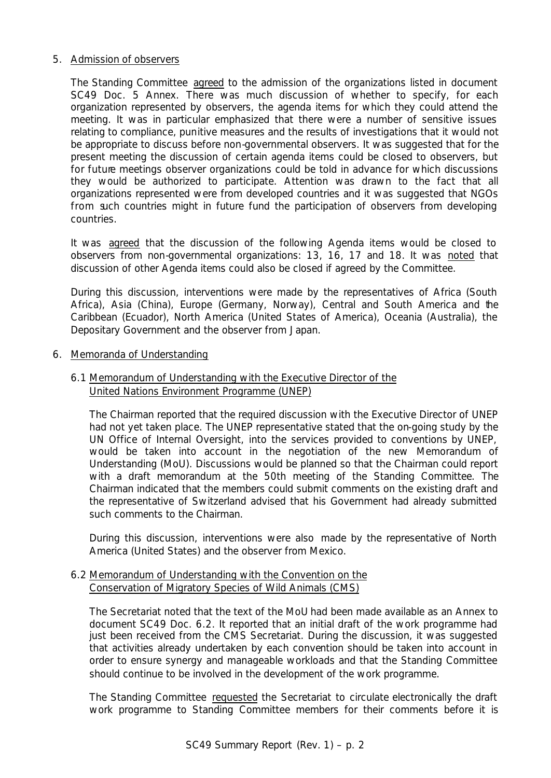## 5. Admission of observers

The Standing Committee agreed to the admission of the organizations listed in document SC49 Doc. 5 Annex. There was much discussion of whether to specify, for each organization represented by observers, the agenda items for which they could attend the meeting. It was in particular emphasized that there were a number of sensitive issues relating to compliance, punitive measures and the results of investigations that it would not be appropriate to discuss before non-governmental observers. It was suggested that for the present meeting the discussion of certain agenda items could be closed to observers, but for future meetings observer organizations could be told in advance for which discussions they would be authorized to participate. Attention was drawn to the fact that all organizations represented were from developed countries and it was suggested that NGOs from such countries might in future fund the participation of observers from developing countries.

It was agreed that the discussion of the following Agenda items would be closed to observers from non-governmental organizations: 13, 16, 17 and 18. It was noted that discussion of other Agenda items could also be closed if agreed by the Committee.

During this discussion, interventions were made by the representatives of Africa (South Africa), Asia (China), Europe (Germany, Norway), Central and South America and the Caribbean (Ecuador), North America (United States of America), Oceania (Australia), the Depositary Government and the observer from Japan.

6. Memoranda of Understanding

# 6.1 Memorandum of Understanding with the Executive Director of the United Nations Environment Programme (UNEP)

The Chairman reported that the required discussion with the Executive Director of UNEP had not yet taken place. The UNEP representative stated that the on-going study by the UN Office of Internal Oversight, into the services provided to conventions by UNEP, would be taken into account in the negotiation of the new Memorandum of Understanding (MoU). Discussions would be planned so that the Chairman could report with a draft memorandum at the 50th meeting of the Standing Committee. The Chairman indicated that the members could submit comments on the existing draft and the representative of Switzerland advised that his Government had already submitted such comments to the Chairman.

During this discussion, interventions were also made by the representative of North America (United States) and the observer from Mexico.

# 6.2 Memorandum of Understanding with the Convention on the Conservation of Migratory Species of Wild Animals (CMS)

The Secretariat noted that the text of the MoU had been made available as an Annex to document SC49 Doc. 6.2. It reported that an initial draft of the work programme had just been received from the CMS Secretariat. During the discussion, it was suggested that activities already undertaken by each convention should be taken into account in order to ensure synergy and manageable workloads and that the Standing Committee should continue to be involved in the development of the work programme.

The Standing Committee requested the Secretariat to circulate electronically the draft work programme to Standing Committee members for their comments before it is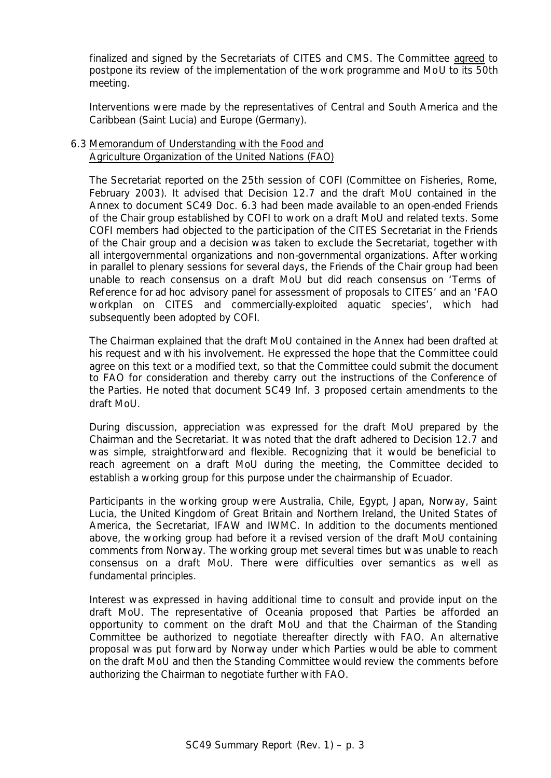finalized and signed by the Secretariats of CITES and CMS. The Committee agreed to postpone its review of the implementation of the work programme and MoU to its 50th meeting.

Interventions were made by the representatives of Central and South America and the Caribbean (Saint Lucia) and Europe (Germany).

## 6.3 Memorandum of Understanding with the Food and Agriculture Organization of the United Nations (FAO)

The Secretariat reported on the 25th session of COFI (Committee on Fisheries, Rome, February 2003). It advised that Decision 12.7 and the draft MoU contained in the Annex to document SC49 Doc. 6.3 had been made available to an open-ended Friends of the Chair group established by COFI to work on a draft MoU and related texts. Some COFI members had objected to the participation of the CITES Secretariat in the Friends of the Chair group and a decision was taken to exclude the Secretariat, together with all intergovernmental organizations and non-governmental organizations. After working in parallel to plenary sessions for several days, the Friends of the Chair group had been unable to reach consensus on a draft MoU but did reach consensus on 'Terms of Reference for *ad hoc* advisory panel for assessment of proposals to CITES' and an 'FAO workplan on CITES and commercially-exploited aquatic species', which had subsequently been adopted by COFI.

The Chairman explained that the draft MoU contained in the Annex had been drafted at his request and with his involvement. He expressed the hope that the Committee could agree on this text or a modified text, so that the Committee could submit the document to FAO for consideration and thereby carry out the instructions of the Conference of the Parties. He noted that document SC49 Inf. 3 proposed certain amendments to the draft MoU.

During discussion, appreciation was expressed for the draft MoU prepared by the Chairman and the Secretariat. It was noted that the draft adhered to Decision 12.7 and was simple, straightforward and flexible. Recognizing that it would be beneficial to reach agreement on a draft MoU during the meeting, the Committee decided to establish a working group for this purpose under the chairmanship of Ecuador.

Participants in the working group were Australia, Chile, Egypt, Japan, Norway, Saint Lucia, the United Kingdom of Great Britain and Northern Ireland, the United States of America, the Secretariat, IFAW and IWMC. In addition to the documents mentioned above, the working group had before it a revised version of the draft MoU containing comments from Norway. The working group met several times but was unable to reach consensus on a draft MoU. There were difficulties over semantics as well as fundamental principles.

Interest was expressed in having additional time to consult and provide input on the draft MoU. The representative of Oceania proposed that Parties be afforded an opportunity to comment on the draft MoU and that the Chairman of the Standing Committee be authorized to negotiate thereafter directly with FAO. An alternative proposal was put forward by Norway under which Parties would be able to comment on the draft MoU and then the Standing Committee would review the comments before authorizing the Chairman to negotiate further with FAO.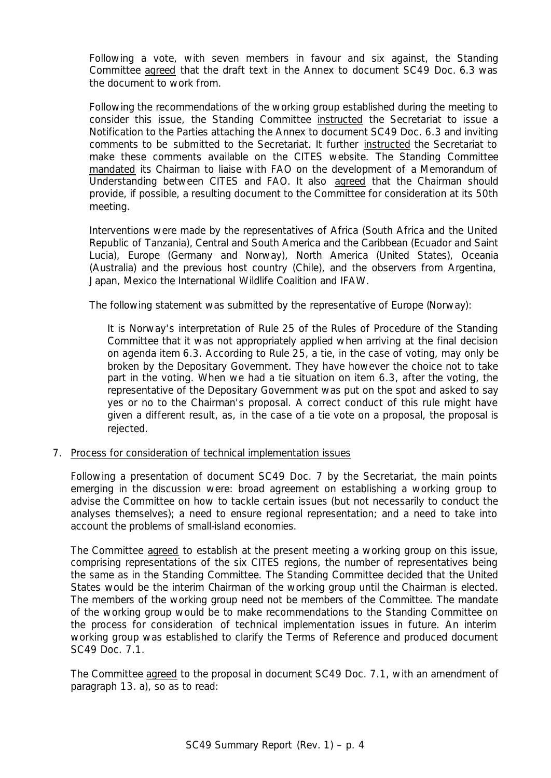Following a vote, with seven members in favour and six against, the Standing Committee agreed that the draft text in the Annex to document SC49 Doc. 6.3 was the document to work from.

Following the recommendations of the working group established during the meeting to consider this issue, the Standing Committee instructed the Secretariat to issue a Notification to the Parties attaching the Annex to document SC49 Doc. 6.3 and inviting comments to be submitted to the Secretariat. It further instructed the Secretariat to make these comments available on the CITES website. The Standing Committee mandated its Chairman to liaise with FAO on the development of a Memorandum of Understanding between CITES and FAO. It also agreed that the Chairman should provide, if possible, a resulting document to the Committee for consideration at its 50th meeting.

Interventions were made by the representatives of Africa (South Africa and the United Republic of Tanzania), Central and South America and the Caribbean (Ecuador and Saint Lucia), Europe (Germany and Norway), North America (United States), Oceania (Australia) and the previous host country (Chile), and the observers from Argentina, Japan, Mexico the International Wildlife Coalition and IFAW.

The following statement was submitted by the representative of Europe (Norway):

*It is Norway's interpretation of Rule 25 of the Rules of Procedure of the Standing Committee that it was not appropriately applied when arriving at the final decision on agenda item 6.3. According to Rule 25, a tie, in the case of voting, may only be broken by the Depositary Government. They have however the choice not to take*  part in the voting. When we had a tie situation on item 6.3, after the voting, the *representative of the Depositary Government was put on the spot and asked to say yes or no to the Chairman's proposal. A correct conduct of this rule might have given a different result, as, in the case of a tie vote on a proposal, the proposal is rejected.*

7. Process for consideration of technical implementation issues

Following a presentation of document SC49 Doc. 7 by the Secretariat, the main points emerging in the discussion were: broad agreement on establishing a working group to advise the Committee on how to tackle certain issues (but not necessarily to conduct the analyses themselves); a need to ensure regional representation; and a need to take into account the problems of small-island economies.

The Committee agreed to establish at the present meeting a working group on this issue, comprising representations of the six CITES regions, the number of representatives being the same as in the Standing Committee. The Standing Committee decided that the United States would be the interim Chairman of the working group until the Chairman is elected. The members of the working group need not be members of the Committee. The mandate of the working group would be to make recommendations to the Standing Committee on the process for consideration of technical implementation issues in future. An interim working group was established to clarify the Terms of Reference and produced document SC49 Doc. 7.1.

The Committee agreed to the proposal in document SC49 Doc. 7.1, with an amendment of paragraph 13. a), so as to read: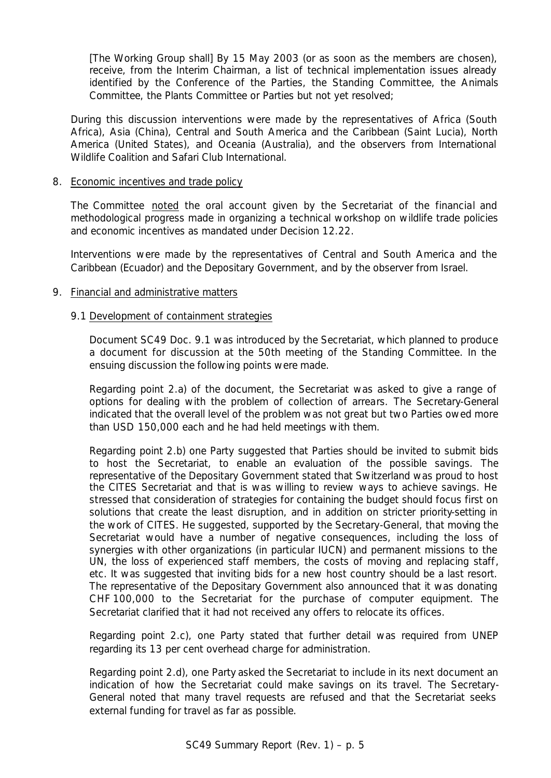*[The Working Group shall] By 15 May 2003 (or as soon as the members are chosen), receive, from the Interim Chairman, a list of technical implementation issues already identified by the Conference of the Parties, the Standing Committee, the Animals Committee, the Plants Committee or Parties but not yet resolved;*

During this discussion interventions were made by the representatives of Africa (South Africa), Asia (China), Central and South America and the Caribbean (Saint Lucia), North America (United States), and Oceania (Australia), and the observers from International Wildlife Coalition and Safari Club International.

## 8. Economic incentives and trade policy

The Committee noted the oral account given by the Secretariat of the financial and methodological progress made in organizing a technical workshop on wildlife trade policies and economic incentives as mandated under Decision 12.22.

Interventions were made by the representatives of Central and South America and the Caribbean (Ecuador) and the Depositary Government, and by the observer from Israel.

# 9. Financial and administrative matters

# 9.1 Development of containment strategies

Document SC49 Doc. 9.1 was introduced by the Secretariat, which planned to produce a document for discussion at the 50th meeting of the Standing Committee. In the ensuing discussion the following points were made.

Regarding point 2.a) of the document, the Secretariat was asked to give a range of options for dealing with the problem of collection of arrears. The Secretary-General indicated that the overall level of the problem was not great but two Parties owed more than USD 150,000 each and he had held meetings with them.

Regarding point 2.b) one Party suggested that Parties should be invited to submit bids to host the Secretariat, to enable an evaluation of the possible savings. The representative of the Depositary Government stated that Switzerland was proud to host the CITES Secretariat and that is was willing to review ways to achieve savings. He stressed that consideration of strategies for containing the budget should focus first on solutions that create the least disruption, and in addition on stricter priority-setting in the work of CITES. He suggested, supported by the Secretary-General, that moving the Secretariat would have a number of negative consequences, including the loss of synergies with other organizations (in particular IUCN) and permanent missions to the UN, the loss of experienced staff members, the costs of moving and replacing staff, etc. It was suggested that inviting bids for a new host country should be a last resort. The representative of the Depositary Government also announced that it was donating CHF 100,000 to the Secretariat for the purchase of computer equipment. The Secretariat clarified that it had not received any offers to relocate its offices.

Regarding point 2.c), one Party stated that further detail was required from UNEP regarding its 13 per cent overhead charge for administration.

Regarding point 2.d), one Party asked the Secretariat to include in its next document an indication of how the Secretariat could make savings on its travel. The Secretary-General noted that many travel requests are refused and that the Secretariat seeks external funding for travel as far as possible.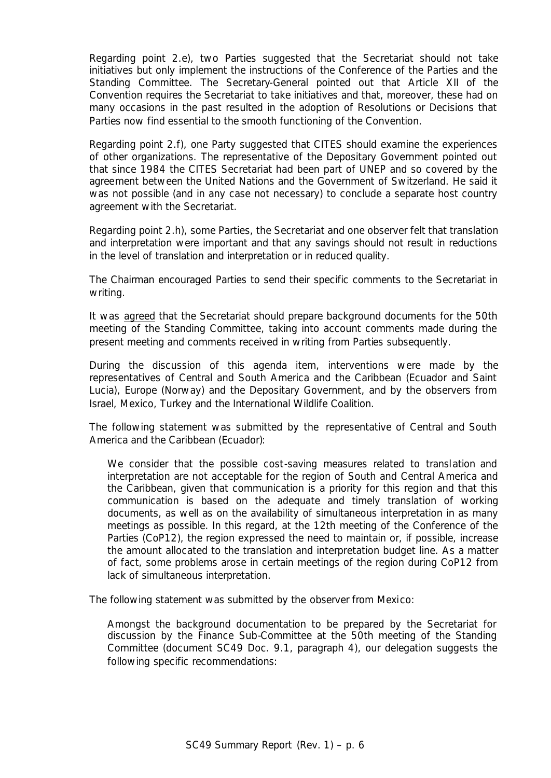Regarding point 2.e), two Parties suggested that the Secretariat should not take initiatives but only implement the instructions of the Conference of the Parties and the Standing Committee. The Secretary-General pointed out that Article XII of the Convention requires the Secretariat to take initiatives and that, moreover, these had on many occasions in the past resulted in the adoption of Resolutions or Decisions that Parties now find essential to the smooth functioning of the Convention.

Regarding point 2.f), one Party suggested that CITES should examine the experiences of other organizations. The representative of the Depositary Government pointed out that since 1984 the CITES Secretariat had been part of UNEP and so covered by the agreement between the United Nations and the Government of Switzerland. He said it was not possible (and in any case not necessary) to conclude a separate host country agreement with the Secretariat.

Regarding point 2.h), some Parties, the Secretariat and one observer felt that translation and interpretation were important and that any savings should not result in reductions in the level of translation and interpretation or in reduced quality.

The Chairman encouraged Parties to send their specific comments to the Secretariat in writing.

It was agreed that the Secretariat should prepare background documents for the 50th meeting of the Standing Committee, taking into account comments made during the present meeting and comments received in writing from Parties subsequently.

During the discussion of this agenda item, interventions were made by the representatives of Central and South America and the Caribbean (Ecuador and Saint Lucia), Europe (Norway) and the Depositary Government, and by the observers from Israel, Mexico, Turkey and the International Wildlife Coalition.

The following statement was submitted by the representative of Central and South America and the Caribbean (Ecuador):

We consider that the possible cost-saving measures related to translation and *interpretation are not acceptable for the region of South and Central America and the Caribbean, given that communication is a priority for this region and that this communication is based on the adequate and timely translation of working documents, as well as on the availability of simultaneous interpretation in as many meetings as possible. In this regard, at the 12th meeting of the Conference of the Parties (CoP12), the region expressed the need to maintain or, if possible, increase the amount allocated to the translation and interpretation budget line. As a matter of fact, some problems arose in certain meetings of the region during CoP12 from lack of simultaneous interpretation.*

The following statement was submitted by the observer from Mexico:

*Amongst the background documentation to be prepared by the Secretariat for discussion by the Finance Sub-Committee at the 50th meeting of the Standing Committee (document SC49 Doc. 9.1, paragraph 4), our delegation suggests the following specific recommendations:*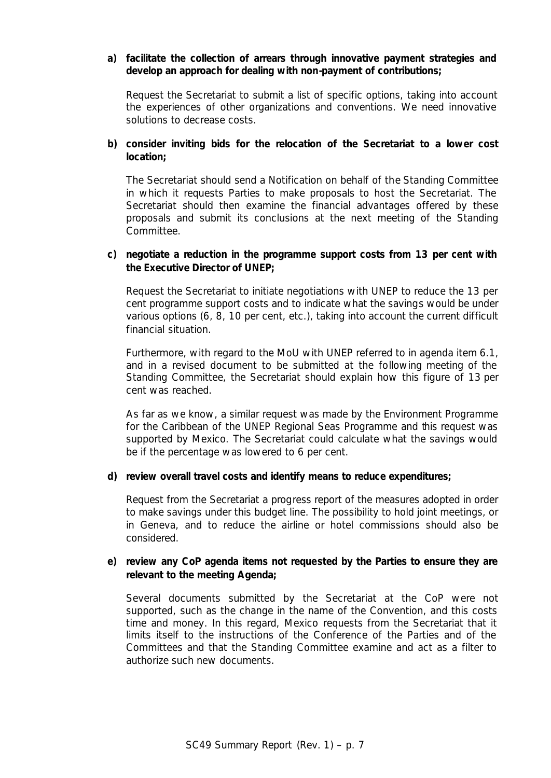# *a) facilitate the collection of arrears through innovative payment strategies and develop an approach for dealing with non-payment of contributions;*

*Request the Secretariat to submit a list of specific options, taking into account the experiences of other organizations and conventions. We need innovative solutions to decrease costs.*

# *b) consider inviting bids for the relocation of the Secretariat to a lower cost location;*

*The Secretariat should send a Notification on behalf of the Standing Committee in which it requests Parties to make proposals to host the Secretariat. The Secretariat should then examine the financial advantages offered by these proposals and submit its conclusions at the next meeting of the Standing Committee.*

# *c) negotiate a reduction in the programme support costs from 13 per cent with the Executive Director of UNEP;*

*Request the Secretariat to initiate negotiations with UNEP to reduce the 13 per cent programme support costs and to indicate what the savings would be under various options (6, 8, 10 per cent, etc.), taking into account the current difficult financial situation.*

*Furthermore, with regard to the MoU with UNEP referred to in agenda item 6.1, and in a revised document to be submitted at the following meeting of the Standing Committee, the Secretariat should explain how this figure of 13 per cent was reached.*

*As far as we know, a similar request was made by the Environment Programme for the Caribbean of the UNEP Regional Seas Programme and this request was supported by Mexico. The Secretariat could calculate what the savings would be if the percentage was lowered to 6 per cent.*

## *d) review overall travel costs and identify means to reduce expenditures;*

*Request from the Secretariat a progress report of the measures adopted in order to make savings under this budget line. The possibility to hold joint meetings, or in Geneva, and to reduce the airline or hotel commissions should also be considered.*

# *e) review any CoP agenda items not requested by the Parties to ensure they are relevant to the meeting Agenda;*

*Several documents submitted by the Secretariat at the CoP were not supported, such as the change in the name of the Convention, and this costs*  time and money. In this regard, Mexico requests from the Secretariat that it *limits itself to the instructions of the Conference of the Parties and of the Committees and that the Standing Committee examine and act as a filter to authorize such new documents.*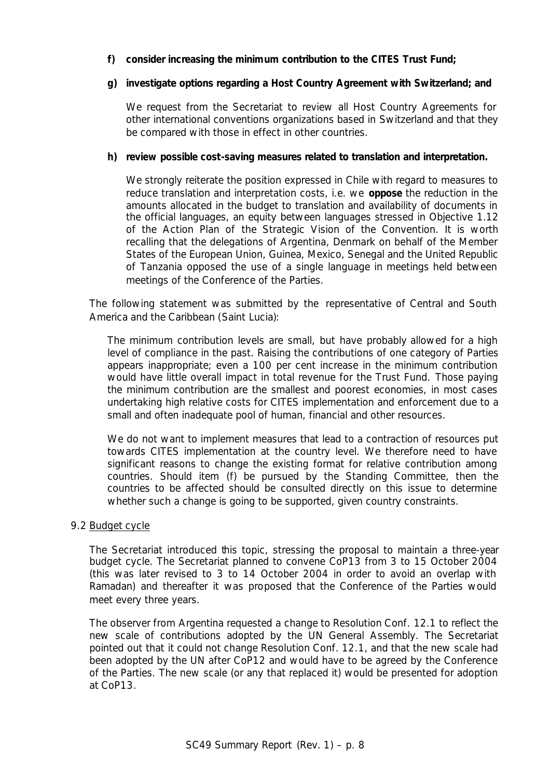# *f) consider increasing the minimum contribution to the CITES Trust Fund;*

## *g) investigate options regarding a Host Country Agreement with Switzerland; and*

*We request from the Secretariat to review all Host Country Agreements for other international conventions organizations based in Switzerland and that they be compared with those in effect in other countries.*

# *h) review possible cost-saving measures related to translation and interpretation.*

*We strongly reiterate the position expressed in Chile with regard to measures to reduce translation and interpretation costs, i.e. we oppose the reduction in the amounts allocated in the budget to translation and availability of documents in the official languages, an equity between languages stressed in Objective 1.12 of the Action Plan of the Strategic Vision of the Convention. It is worth recalling that the delegations of Argentina, Denmark on behalf of the Member States of the European Union, Guinea, Mexico, Senegal and the United Republic of Tanzania opposed the use of a single language in meetings held between meetings of the Conference of the Parties.*

The following statement was submitted by the representative of Central and South America and the Caribbean (Saint Lucia):

*The minimum contribution levels are small, but have probably allowed for a high level of compliance in the past. Raising the contributions of one category of Parties appears inappropriate; even a 100 per cent increase in the minimum contribution would have little overall impact in total revenue for the Trust Fund. Those paying the minimum contribution are the smallest and poorest economies, in most cases undertaking high relative costs for CITES implementation and enforcement due to a small and often inadequate pool of human, financial and other resources.*

*We do not want to implement measures that lead to a contraction of resources put towards CITES implementation at the country level. We therefore need to have significant reasons to change the existing format for relative contribution among countries. Should item (f) be pursued by the Standing Committee, then the countries to be affected should be consulted directly on this issue to determine whether such a change is going to be supported, given country constraints.*

## 9.2 Budget cycle

The Secretariat introduced this topic, stressing the proposal to maintain a three-year budget cycle. The Secretariat planned to convene CoP13 from 3 to 15 October 2004 (this was later revised to 3 to 14 October 2004 in order to avoid an overlap with Ramadan) and thereafter it was proposed that the Conference of the Parties would meet every three years.

The observer from Argentina requested a change to Resolution Conf. 12.1 to reflect the new scale of contributions adopted by the UN General Assembly. The Secretariat pointed out that it could not change Resolution Conf. 12.1, and that the new scale had been adopted by the UN after CoP12 and would have to be agreed by the Conference of the Parties. The new scale (or any that replaced it) would be presented for adoption at CoP13.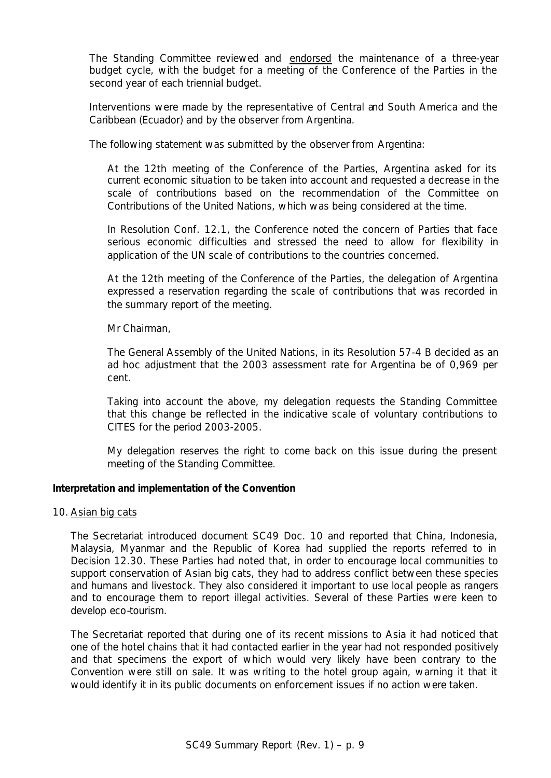The Standing Committee reviewed and endorsed the maintenance of a three-year budget cycle, with the budget for a meeting of the Conference of the Parties in the second year of each triennial budget.

Interventions were made by the representative of Central and South America and the Caribbean (Ecuador) and by the observer from Argentina.

The following statement was submitted by the observer from Argentina:

*At the 12th meeting of the Conference of the Parties, Argentina asked for its current economic situation to be taken into account and requested a decrease in the scale of contributions based on the recommendation of the Committee on Contributions of the United Nations, which was being considered at the time.*

*In Resolution Conf. 12.1, the Conference noted the concern of Parties that face serious economic difficulties and stressed the need to allow for flexibility in application of the UN scale of contributions to the countries concerned.*

*At the 12th meeting of the Conference of the Parties, the delegation of Argentina expressed a reservation regarding the scale of contributions that was recorded in the summary report of the meeting.*

*Mr Chairman,*

*The General Assembly of the United Nations, in its Resolution 57-4 B decided as an*  ad hoc *adjustment that the 2003 assessment rate for Argentina be of 0,969 per cent.*

*Taking into account the above, my delegation requests the Standing Committee that this change be reflected in the indicative scale of voluntary contributions to CITES for the period 2003-2005.*

*My delegation reserves the right to come back on this issue during the present meeting of the Standing Committee.*

## **Interpretation and implementation of the Convention**

## 10. Asian big cats

The Secretariat introduced document SC49 Doc. 10 and reported that China, Indonesia, Malaysia, Myanmar and the Republic of Korea had supplied the reports referred to in Decision 12.30. These Parties had noted that, in order to encourage local communities to support conservation of Asian big cats, they had to address conflict between these species and humans and livestock. They also considered it important to use local people as rangers and to encourage them to report illegal activities. Several of these Parties were keen to develop eco-tourism.

The Secretariat reported that during one of its recent missions to Asia it had noticed that one of the hotel chains that it had contacted earlier in the year had not responded positively and that specimens the export of which would very likely have been contrary to the Convention were still on sale. It was writing to the hotel group again, warning it that it would identify it in its public documents on enforcement issues if no action were taken.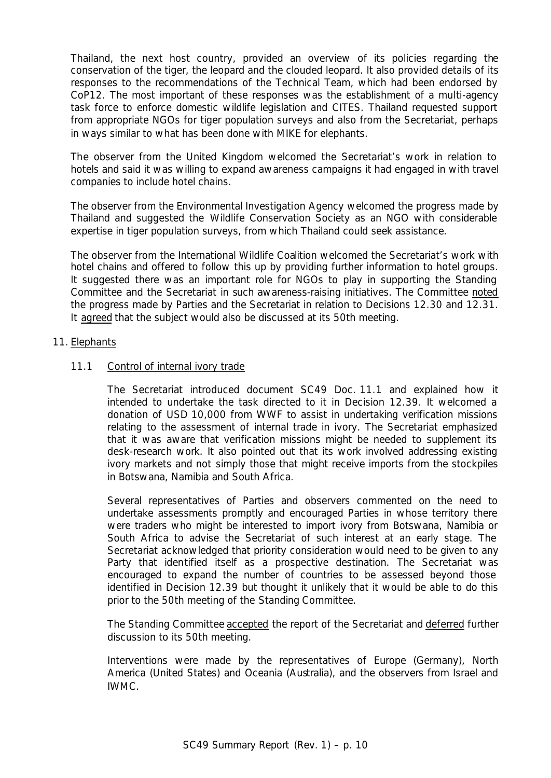Thailand, the next host country, provided an overview of its policies regarding the conservation of the tiger, the leopard and the clouded leopard. It also provided details of its responses to the recommendations of the Technical Team, which had been endorsed by CoP12. The most important of these responses was the establishment of a multi-agency task force to enforce domestic wildlife legislation and CITES. Thailand requested support from appropriate NGOs for tiger population surveys and also from the Secretariat, perhaps in ways similar to what has been done with MIKE for elephants.

The observer from the United Kingdom welcomed the Secretariat's work in relation to hotels and said it was willing to expand awareness campaigns it had engaged in with travel companies to include hotel chains.

The observer from the Environmental Investigation Agency welcomed the progress made by Thailand and suggested the Wildlife Conservation Society as an NGO with considerable expertise in tiger population surveys, from which Thailand could seek assistance.

The observer from the International Wildlife Coalition welcomed the Secretariat's work with hotel chains and offered to follow this up by providing further information to hotel groups. It suggested there was an important role for NGOs to play in supporting the Standing Committee and the Secretariat in such awareness-raising initiatives. The Committee noted the progress made by Parties and the Secretariat in relation to Decisions 12.30 and 12.31. It agreed that the subject would also be discussed at its 50th meeting.

## 11. Elephants

# 11.1 Control of internal ivory trade

The Secretariat introduced document SC49 Doc. 11.1 and explained how it intended to undertake the task directed to it in Decision 12.39. It welcomed a donation of USD 10,000 from WWF to assist in undertaking verification missions relating to the assessment of internal trade in ivory. The Secretariat emphasized that it was aware that verification missions might be needed to supplement its desk-research work. It also pointed out that its work involved addressing existing ivory markets and not simply those that might receive imports from the stockpiles in Botswana, Namibia and South Africa.

Several representatives of Parties and observers commented on the need to undertake assessments promptly and encouraged Parties in whose territory there were traders who might be interested to import ivory from Botswana, Namibia or South Africa to advise the Secretariat of such interest at an early stage. The Secretariat acknowledged that priority consideration would need to be given to any Party that identified itself as a prospective destination. The Secretariat was encouraged to expand the number of countries to be assessed beyond those identified in Decision 12.39 but thought it unlikely that it would be able to do this prior to the 50th meeting of the Standing Committee.

The Standing Committee accepted the report of the Secretariat and deferred further discussion to its 50th meeting.

Interventions were made by the representatives of Europe (Germany), North America (United States) and Oceania (Australia), and the observers from Israel and IWMC.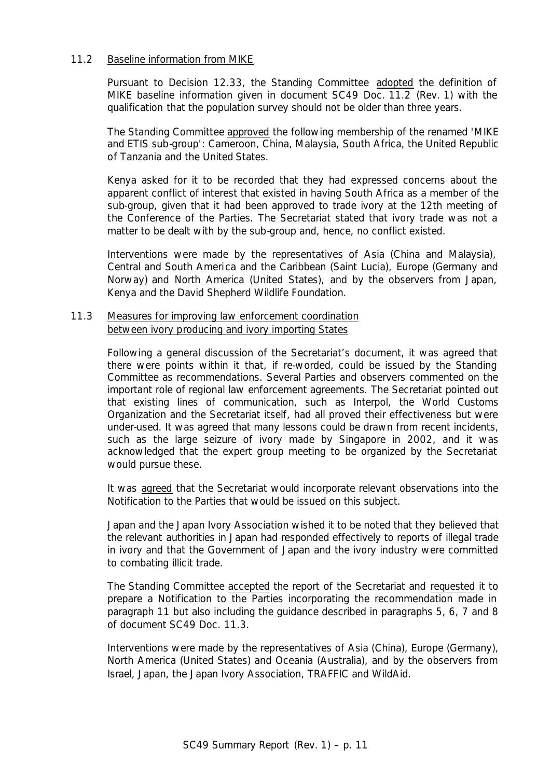## 11.2 Baseline information from MIKE

Pursuant to Decision 12.33, the Standing Committee adopted the definition of MIKE baseline information given in document SC49 Doc. 11.2 (Rev. 1) with the qualification that the population survey should not be older than three years.

The Standing Committee approved the following membership of the renamed 'MIKE and ETIS sub-group': Cameroon, China, Malaysia, South Africa, the United Republic of Tanzania and the United States.

Kenya asked for it to be recorded that they had expressed concerns about the apparent conflict of interest that existed in having South Africa as a member of the sub-group, given that it had been approved to trade ivory at the 12th meeting of the Conference of the Parties. The Secretariat stated that ivory trade was not a matter to be dealt with by the sub-group and, hence, no conflict existed.

Interventions were made by the representatives of Asia (China and Malaysia), Central and South America and the Caribbean (Saint Lucia), Europe (Germany and Norway) and North America (United States), and by the observers from Japan, Kenya and the David Shepherd Wildlife Foundation.

## 11.3 Measures for improving law enforcement coordination between ivory producing and ivory importing States

Following a general discussion of the Secretariat's document, it was agreed that there were points within it that, if re-worded, could be issued by the Standing Committee as recommendations. Several Parties and observers commented on the important role of regional law enforcement agreements. The Secretariat pointed out that existing lines of communication, such as Interpol, the World Customs Organization and the Secretariat itself, had all proved their effectiveness but were under-used. It was agreed that many lessons could be drawn from recent incidents, such as the large seizure of ivory made by Singapore in 2002, and it was acknowledged that the expert group meeting to be organized by the Secretariat would pursue these.

It was agreed that the Secretariat would incorporate relevant observations into the Notification to the Parties that would be issued on this subject.

Japan and the Japan Ivory Association wished it to be noted that they believed that the relevant authorities in Japan had responded effectively to reports of illegal trade in ivory and that the Government of Japan and the ivory industry were committed to combating illicit trade.

The Standing Committee accepted the report of the Secretariat and requested it to prepare a Notification to the Parties incorporating the recommendation made in paragraph 11 but also including the guidance described in paragraphs 5, 6, 7 and 8 of document SC49 Doc. 11.3.

Interventions were made by the representatives of Asia (China), Europe (Germany), North America (United States) and Oceania (Australia), and by the observers from Israel, Japan, the Japan Ivory Association, TRAFFIC and WildAid.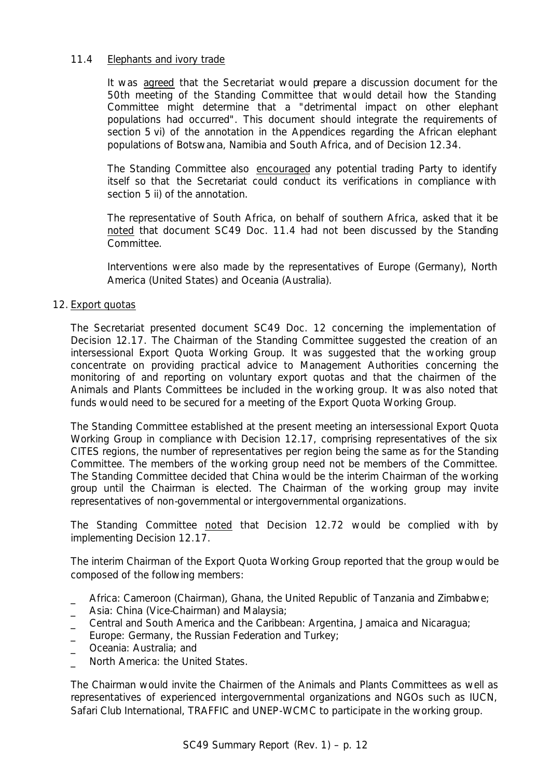# 11.4 Elephants and ivory trade

It was agreed that the Secretariat would prepare a discussion document for the 50th meeting of the Standing Committee that would detail how the Standing Committee might determine that a "detrimental impact on other elephant populations had occurred". This document should integrate the requirements of section 5 vi) of the annotation in the Appendices regarding the African elephant populations of Botswana, Namibia and South Africa, and of Decision 12.34.

The Standing Committee also encouraged any potential trading Party to identify itself so that the Secretariat could conduct its verifications in compliance with section 5 ii) of the annotation.

The representative of South Africa, on behalf of southern Africa, asked that it be noted that document SC49 Doc. 11.4 had not been discussed by the Standing Committee.

Interventions were also made by the representatives of Europe (Germany), North America (United States) and Oceania (Australia).

# 12. Export quotas

The Secretariat presented document SC49 Doc. 12 concerning the implementation of Decision 12.17. The Chairman of the Standing Committee suggested the creation of an intersessional Export Quota Working Group. It was suggested that the working group concentrate on providing practical advice to Management Authorities concerning the monitoring of and reporting on voluntary export quotas and that the chairmen of the Animals and Plants Committees be included in the working group. It was also noted that funds would need to be secured for a meeting of the Export Quota Working Group.

The Standing Committee established at the present meeting an intersessional Export Quota Working Group in compliance with Decision 12.17, comprising representatives of the six CITES regions, the number of representatives per region being the same as for the Standing Committee. The members of the working group need not be members of the Committee. The Standing Committee decided that China would be the interim Chairman of the working group until the Chairman is elected. The Chairman of the working group may invite representatives of non-governmental or intergovernmental organizations.

The Standing Committee noted that Decision 12.72 would be complied with by implementing Decision 12.17.

The interim Chairman of the Export Quota Working Group reported that the group would be composed of the following members:

- \_ Africa: Cameroon (Chairman), Ghana, the United Republic of Tanzania and Zimbabwe;
- \_ Asia: China (Vice-Chairman) and Malaysia;
- \_ Central and South America and the Caribbean: Argentina, Jamaica and Nicaragua;
- Europe: Germany, the Russian Federation and Turkey;
- Oceania: Australia: and
- North America: the United States.

The Chairman would invite the Chairmen of the Animals and Plants Committees as well as representatives of experienced intergovernmental organizations and NGOs such as IUCN, Safari Club International, TRAFFIC and UNEP-WCMC to participate in the working group.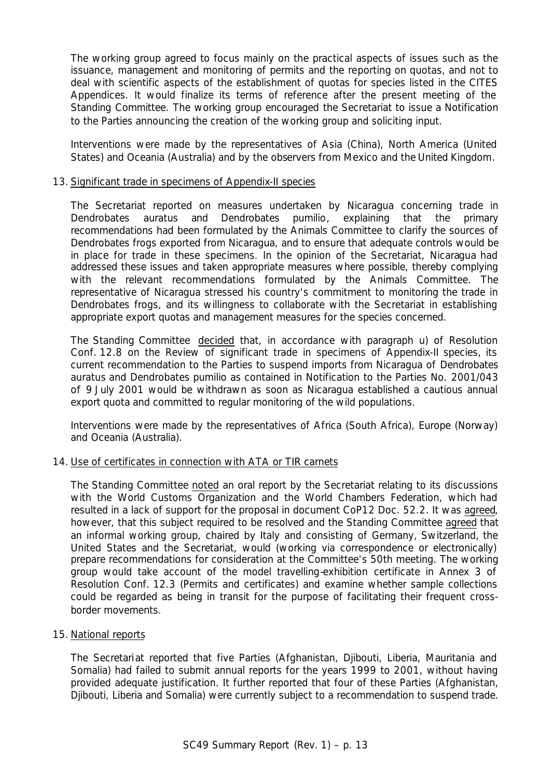The working group agreed to focus mainly on the practical aspects of issues such as the issuance, management and monitoring of permits and the reporting on quotas, and not to deal with scientific aspects of the establishment of quotas for species listed in the CITES Appendices. It would finalize its terms of reference after the present meeting of the Standing Committee. The working group encouraged the Secretariat to issue a Notification to the Parties announcing the creation of the working group and soliciting input.

Interventions were made by the representatives of Asia (China), North America (United States) and Oceania (Australia) and by the observers from Mexico and the United Kingdom.

## 13. Significant trade in specimens of Appendix-II species

The Secretariat reported on measures undertaken by Nicaragua concerning trade in *Dendrobates auratus* and *Dendrobates pumilio*, explaining that the primary recommendations had been formulated by the Animals Committee to clarify the sources of *Dendrobates* frogs exported from Nicaragua, and to ensure that adequate controls would be in place for trade in these specimens. In the opinion of the Secretariat, Nicaragua had addressed these issues and taken appropriate measures where possible, thereby complying with the relevant recommendations formulated by the Animals Committee. The representative of Nicaragua stressed his country's commitment to monitoring the trade in *Dendrobates* frogs, and its willingness to collaborate with the Secretariat in establishing appropriate export quotas and management measures for the species concerned.

The Standing Committee decided that, in accordance with paragraph u) of Resolution Conf. 12.8 on the Review of significant trade in specimens of Appendix-II species, its current recommendation to the Parties to suspend imports from Nicaragua of *Dendrobates auratus* and *Dendrobates pumilio* as contained in Notification to the Parties No. 2001/043 of 9 July 2001 would be withdrawn as soon as Nicaragua established a cautious annual export quota and committed to regular monitoring of the wild populations.

Interventions were made by the representatives of Africa (South Africa), Europe (Norway) and Oceania (Australia).

## 14. Use of certificates in connection with ATA or TIR carnets

The Standing Committee noted an oral report by the Secretariat relating to its discussions with the World Customs Organization and the World Chambers Federation, which had resulted in a lack of support for the proposal in document CoP12 Doc. 52.2. It was agreed, however, that this subject required to be resolved and the Standing Committee agreed that an informal working group, chaired by Italy and consisting of Germany, Switzerland, the United States and the Secretariat, would (working via correspondence or electronically) prepare recommendations for consideration at the Committee's 50th meeting. The working group would take account of the model travelling-exhibition certificate in Annex 3 of Resolution Conf. 12.3 (Permits and certificates) and examine whether sample collections could be regarded as being in transit for the purpose of facilitating their frequent crossborder movements.

## 15. National reports

The Secretariat reported that five Parties (Afghanistan, Djibouti, Liberia, Mauritania and Somalia) had failed to submit annual reports for the years 1999 to 2001, without having provided adequate justification. It further reported that four of these Parties (Afghanistan, Djibouti, Liberia and Somalia) were currently subject to a recommendation to suspend trade.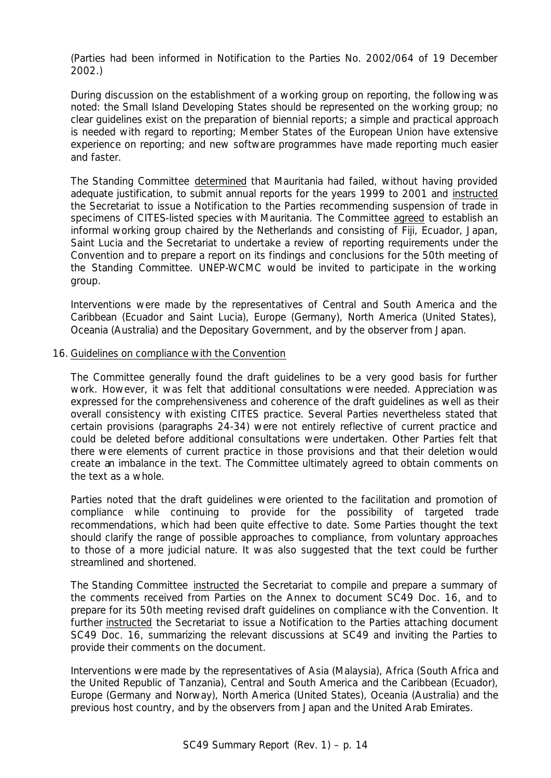(Parties had been informed in Notification to the Parties No. 2002/064 of 19 December 2002.)

During discussion on the establishment of a working group on reporting, the following was noted: the Small Island Developing States should be represented on the working group; no clear guidelines exist on the preparation of biennial reports; a simple and practical approach is needed with regard to reporting; Member States of the European Union have extensive experience on reporting; and new software programmes have made reporting much easier and faster.

The Standing Committee determined that Mauritania had failed, without having provided adequate justification, to submit annual reports for the years 1999 to 2001 and instructed the Secretariat to issue a Notification to the Parties recommending suspension of trade in specimens of CITES-listed species with Mauritania. The Committee agreed to establish an informal working group chaired by the Netherlands and consisting of Fiji, Ecuador, Japan, Saint Lucia and the Secretariat to undertake a review of reporting requirements under the Convention and to prepare a report on its findings and conclusions for the 50th meeting of the Standing Committee. UNEP-WCMC would be invited to participate in the working group.

Interventions were made by the representatives of Central and South America and the Caribbean (Ecuador and Saint Lucia), Europe (Germany), North America (United States), Oceania (Australia) and the Depositary Government, and by the observer from Japan.

#### 16. Guidelines on compliance with the Convention

The Committee generally found the draft guidelines to be a very good basis for further work. However, it was felt that additional consultations were needed. Appreciation was expressed for the comprehensiveness and coherence of the draft guidelines as well as their overall consistency with existing CITES practice. Several Parties nevertheless stated that certain provisions (paragraphs 24-34) were not entirely reflective of current practice and could be deleted before additional consultations were undertaken. Other Parties felt that there were elements of current practice in those provisions and that their deletion would create an imbalance in the text. The Committee ultimately agreed to obtain comments on the text as a whole.

Parties noted that the draft guidelines were oriented to the facilitation and promotion of compliance while continuing to provide for the possibility of targeted trade recommendations, which had been quite effective to date. Some Parties thought the text should clarify the range of possible approaches to compliance, from voluntary approaches to those of a more judicial nature. It was also suggested that the text could be further streamlined and shortened.

The Standing Committee instructed the Secretariat to compile and prepare a summary of the comments received from Parties on the Annex to document SC49 Doc. 16, and to prepare for its 50th meeting revised draft guidelines on compliance with the Convention. It further instructed the Secretariat to issue a Notification to the Parties attaching document SC49 Doc. 16, summarizing the relevant discussions at SC49 and inviting the Parties to provide their comments on the document.

Interventions were made by the representatives of Asia (Malaysia), Africa (South Africa and the United Republic of Tanzania), Central and South America and the Caribbean (Ecuador), Europe (Germany and Norway), North America (United States), Oceania (Australia) and the previous host country, and by the observers from Japan and the United Arab Emirates.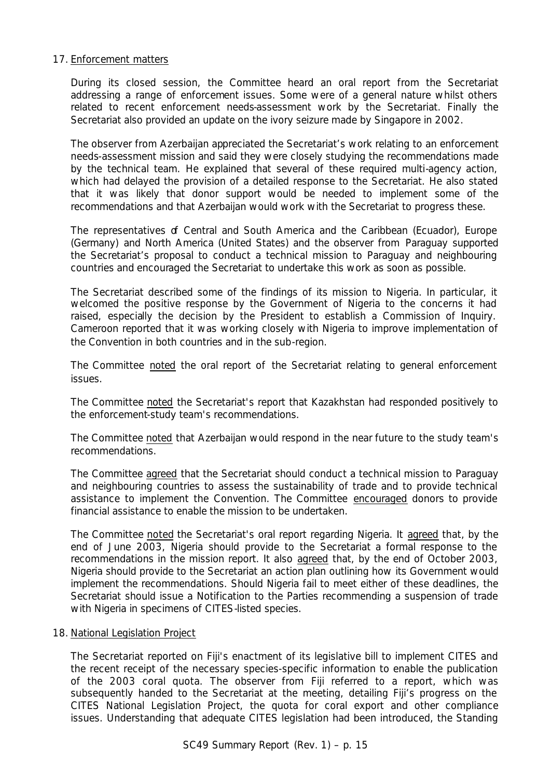## 17. Enforcement matters

During its closed session, the Committee heard an oral report from the Secretariat addressing a range of enforcement issues. Some were of a general nature whilst others related to recent enforcement needs-assessment work by the Secretariat. Finally the Secretariat also provided an update on the ivory seizure made by Singapore in 2002.

The observer from Azerbaijan appreciated the Secretariat's work relating to an enforcement needs-assessment mission and said they were closely studying the recommendations made by the technical team. He explained that several of these required multi-agency action, which had delayed the provision of a detailed response to the Secretariat. He also stated that it was likely that donor support would be needed to implement some of the recommendations and that Azerbaijan would work with the Secretariat to progress these.

The representatives of Central and South America and the Caribbean (Ecuador), Europe (Germany) and North America (United States) and the observer from Paraguay supported the Secretariat's proposal to conduct a technical mission to Paraguay and neighbouring countries and encouraged the Secretariat to undertake this work as soon as possible.

The Secretariat described some of the findings of its mission to Nigeria. In particular, it welcomed the positive response by the Government of Nigeria to the concerns it had raised, especially the decision by the President to establish a Commission of Inquiry. Cameroon reported that it was working closely with Nigeria to improve implementation of the Convention in both countries and in the sub-region.

The Committee noted the oral report of the Secretariat relating to general enforcement issues.

The Committee noted the Secretariat's report that Kazakhstan had responded positively to the enforcement-study team's recommendations.

The Committee noted that Azerbaijan would respond in the near future to the study team's recommendations.

The Committee agreed that the Secretariat should conduct a technical mission to Paraguay and neighbouring countries to assess the sustainability of trade and to provide technical assistance to implement the Convention. The Committee encouraged donors to provide financial assistance to enable the mission to be undertaken.

The Committee noted the Secretariat's oral report regarding Nigeria. It agreed that, by the end of June 2003, Nigeria should provide to the Secretariat a formal response to the recommendations in the mission report. It also agreed that, by the end of October 2003, Nigeria should provide to the Secretariat an action plan outlining how its Government would implement the recommendations. Should Nigeria fail to meet either of these deadlines, the Secretariat should issue a Notification to the Parties recommending a suspension of trade with Nigeria in specimens of CITES-listed species.

#### 18. National Legislation Project

The Secretariat reported on Fiji's enactment of its legislative bill to implement CITES and the recent receipt of the necessary species-specific information to enable the publication of the 2003 coral quota. The observer from Fiji referred to a report, which was subsequently handed to the Secretariat at the meeting, detailing Fiji's progress on the CITES National Legislation Project, the quota for coral export and other compliance issues. Understanding that adequate CITES legislation had been introduced, the Standing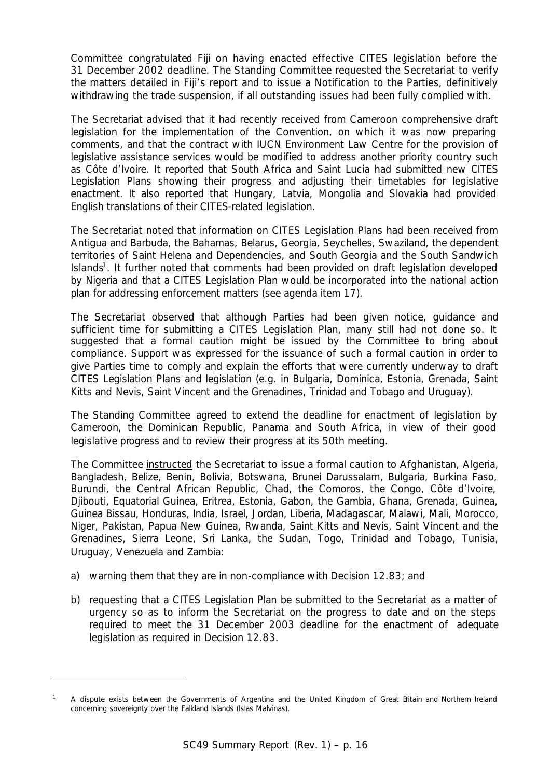Committee congratulated Fiji on having enacted effective CITES legislation before the 31 December 2002 deadline. The Standing Committee requested the Secretariat to verify the matters detailed in Fiji's report and to issue a Notification to the Parties, definitively withdrawing the trade suspension, if all outstanding issues had been fully complied with.

The Secretariat advised that it had recently received from Cameroon comprehensive draft legislation for the implementation of the Convention, on which it was now preparing comments, and that the contract with IUCN Environment Law Centre for the provision of legislative assistance services would be modified to address another priority country such as Côte d'Ivoire. It reported that South Africa and Saint Lucia had submitted new CITES Legislation Plans showing their progress and adjusting their timetables for legislative enactment. It also reported that Hungary, Latvia, Mongolia and Slovakia had provided English translations of their CITES-related legislation.

The Secretariat noted that information on CITES Legislation Plans had been received from Antigua and Barbuda, the Bahamas, Belarus, Georgia, Seychelles, Swaziland, the dependent territories of Saint Helena and Dependencies, and South Georgia and the South Sandwich Islands<sup>1</sup>. It further noted that comments had been provided on draft legislation developed by Nigeria and that a CITES Legislation Plan would be incorporated into the national action plan for addressing enforcement matters (see agenda item 17).

The Secretariat observed that although Parties had been given notice, guidance and sufficient time for submitting a CITES Legislation Plan, many still had not done so. It suggested that a formal caution might be issued by the Committee to bring about compliance. Support was expressed for the issuance of such a formal caution in order to give Parties time to comply and explain the efforts that were currently underway to draft CITES Legislation Plans and legislation (e.g. in Bulgaria, Dominica, Estonia, Grenada, Saint Kitts and Nevis, Saint Vincent and the Grenadines, Trinidad and Tobago and Uruguay).

The Standing Committee agreed to extend the deadline for enactment of legislation by Cameroon, the Dominican Republic, Panama and South Africa, in view of their good legislative progress and to review their progress at its 50th meeting.

The Committee instructed the Secretariat to issue a formal caution to Afghanistan, Algeria, Bangladesh, Belize, Benin, Bolivia, Botswana, Brunei Darussalam, Bulgaria, Burkina Faso, Burundi, the Central African Republic, Chad, the Comoros, the Congo, Côte d'Ivoire, Djibouti, Equatorial Guinea, Eritrea, Estonia, Gabon, the Gambia, Ghana, Grenada, Guinea, Guinea Bissau, Honduras, India, Israel, Jordan, Liberia, Madagascar, Malawi, Mali, Morocco, Niger, Pakistan, Papua New Guinea, Rwanda, Saint Kitts and Nevis, Saint Vincent and the Grenadines, Sierra Leone, Sri Lanka, the Sudan, Togo, Trinidad and Tobago, Tunisia, Uruguay, Venezuela and Zambia:

a) warning them that they are in non-compliance with Decision 12.83; and

ł

b) requesting that a CITES Legislation Plan be submitted to the Secretariat as a matter of urgency so as to inform the Secretariat on the progress to date and on the steps required to meet the 31 December 2003 deadline for the enactment of adequate legislation as required in Decision 12.83.

*<sup>1</sup> A dispute exists between the Governments of Argentina and the United Kingdom of Great Britain and Northern Ireland concerning sovereignty over the Falkland Islands (Islas Malvinas).*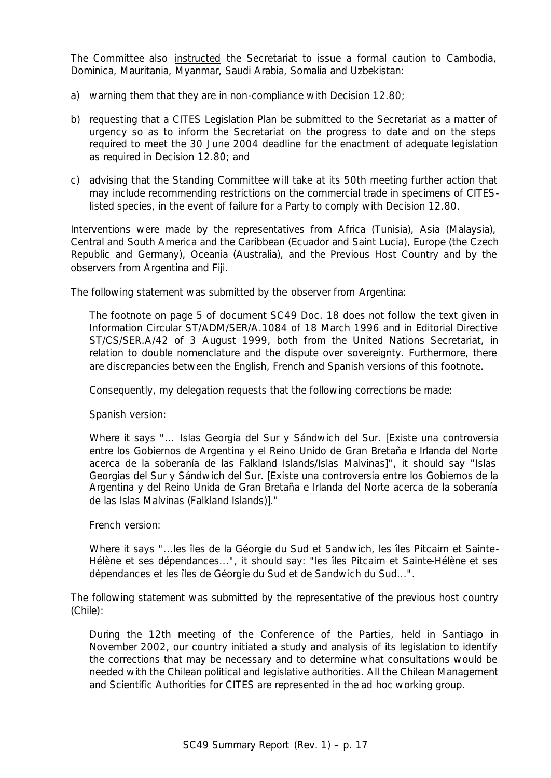The Committee also instructed the Secretariat to issue a formal caution to Cambodia, Dominica, Mauritania, Myanmar, Saudi Arabia, Somalia and Uzbekistan:

- a) warning them that they are in non-compliance with Decision 12.80;
- b) requesting that a CITES Legislation Plan be submitted to the Secretariat as a matter of urgency so as to inform the Secretariat on the progress to date and on the steps required to meet the 30 June 2004 deadline for the enactment of adequate legislation as required in Decision 12.80; and
- c) advising that the Standing Committee will take at its 50th meeting further action that may include recommending restrictions on the commercial trade in specimens of CITESlisted species, in the event of failure for a Party to comply with Decision 12.80.

Interventions were made by the representatives from Africa (Tunisia), Asia (Malaysia), Central and South America and the Caribbean (Ecuador and Saint Lucia), Europe (the Czech Republic and Germany), Oceania (Australia), and the Previous Host Country and by the observers from Argentina and Fiji.

The following statement was submitted by the observer from Argentina:

*The footnote on page 5 of document SC49 Doc. 18 does not follow the text given in Information Circular ST/ADM/SER/A.1084 of 18 March 1996 and in Editorial Directive ST/CS/SER.A/42 of 3 August 1999, both from the United Nations Secretariat, in* relation to double nomenclature and the dispute over sovereignty. Furthermore, there *are discrepancies between the English, French and Spanish versions of this footnote.*

*Consequently, my delegation requests that the following corrections be made:*

*Spanish version:*

*Where it says "... Islas Georgia del Sur y Sándwich del Sur. [Existe una controversia entre los Gobiernos de Argentina y el Reino Unido de Gran Bretaña e Irlanda del Norte acerca de la soberanía de las Falkland Islands/Islas Malvinas]", it should say "Islas Georgias del Sur y Sándwich del Sur. [Existe una controversia entre los Gobiernos de la Argentina y del Reino Unida de Gran Bretaña e Irlanda del Norte acerca de la soberanía de las Islas Malvinas (Falkland Islands)]."*

*French version:*

*Where it says "...les îles de la Géorgie du Sud et Sandwich, les îles Pitcairn et Sainte-Hélène et ses dépendances...", it should say: "les îles Pitcairn et Sainte-Hélène et ses dépendances et les îles de Géorgie du Sud et de Sandwich du Sud...".*

The following statement was submitted by the representative of the previous host country (Chile):

*During the 12th meeting of the Conference of the Parties, held in Santiago in November 2002, our country initiated a study and analysis of its legislation to identify the corrections that may be necessary and to determine what consultations would be needed with the Chilean political and legislative authorities. All the Chilean Management and Scientific Authorities for CITES are represented in the* ad hoc *working group.*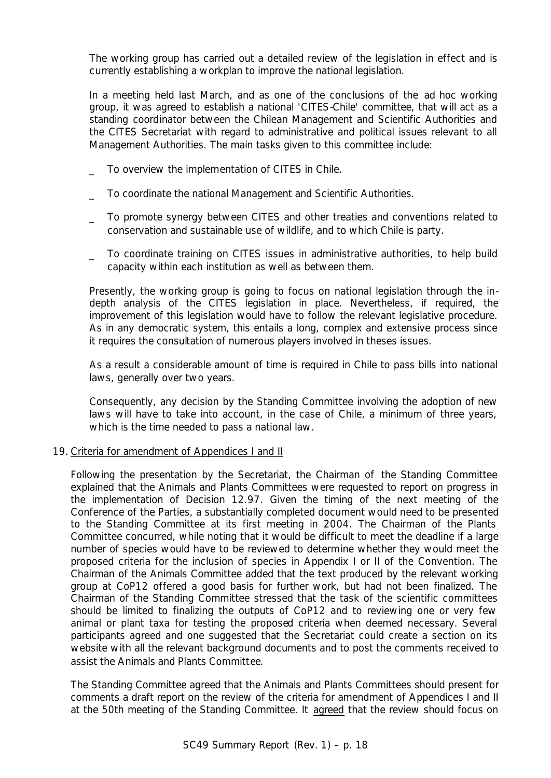*The working group has carried out a detailed review of the legislation in effect and is currently establishing a workplan to improve the national legislation.* 

*In a meeting held last March, and as one of the conclusions of the* ad hoc *working group, it was agreed to establish a national 'CITES-Chile' committee, that will act as a standing coordinator between the Chilean Management and Scientific Authorities and the CITES Secretariat with regard to administrative and political issues relevant to all Management Authorities. The main tasks given to this committee include:*

- *\_ To overview the implementation of CITES in Chile.*
- *\_ To coordinate the national Management and Scientific Authorities.*
- *\_ To promote synergy between CITES and other treaties and conventions related to conservation and sustainable use of wildlife, and to which Chile is party.*
- *\_ To coordinate training on CITES issues in administrative authorities, to help build capacity within each institution as well as between them.*

*Presently, the working group is going to focus on national legislation through the indepth analysis of the CITES legislation in place. Nevertheless, if required, the improvement of this legislation would have to follow the relevant legislative procedure. As in any democratic system, this entails a long, complex and extensive process since it requires the consultation of numerous players involved in theses issues.*

*As a result a considerable amount of time is required in Chile to pass bills into national laws, generally over two years.*

*Consequently, any decision by the Standing Committee involving the adoption of new*  laws will have to take into account, in the case of Chile, a minimum of three years, *which is the time needed to pass a national law.*

## 19. Criteria for amendment of Appendices I and II

Following the presentation by the Secretariat, the Chairman of the Standing Committee explained that the Animals and Plants Committees were requested to report on progress in the implementation of Decision 12.97. Given the timing of the next meeting of the Conference of the Parties, a substantially completed document would need to be presented to the Standing Committee at its first meeting in 2004. The Chairman of the Plants Committee concurred, while noting that it would be difficult to meet the deadline if a large number of species would have to be reviewed to determine whether they would meet the proposed criteria for the inclusion of species in Appendix I or II of the Convention. The Chairman of the Animals Committee added that the text produced by the relevant working group at CoP12 offered a good basis for further work, but had not been finalized. The Chairman of the Standing Committee stressed that the task of the scientific committees should be limited to finalizing the outputs of CoP12 and to reviewing one or very few animal or plant taxa for testing the proposed criteria when deemed necessary. Several participants agreed and one suggested that the Secretariat could create a section on its website with all the relevant background documents and to post the comments received to assist the Animals and Plants Committee.

The Standing Committee agreed that the Animals and Plants Committees should present for comments a draft report on the review of the criteria for amendment of Appendices I and II at the 50th meeting of the Standing Committee. It agreed that the review should focus on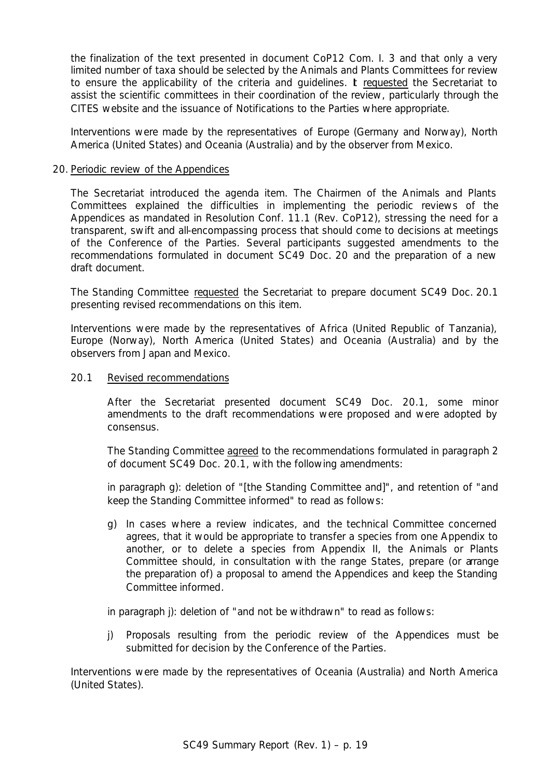the finalization of the text presented in document CoP12 Com. I. 3 and that only a very limited number of taxa should be selected by the Animals and Plants Committees for review to ensure the applicability of the criteria and guidelines. It requested the Secretariat to assist the scientific committees in their coordination of the review, particularly through the CITES website and the issuance of Notifications to the Parties where appropriate.

Interventions were made by the representatives of Europe (Germany and Norway), North America (United States) and Oceania (Australia) and by the observer from Mexico.

#### 20. Periodic review of the Appendices

The Secretariat introduced the agenda item. The Chairmen of the Animals and Plants Committees explained the difficulties in implementing the periodic reviews of the Appendices as mandated in Resolution Conf. 11.1 (Rev. CoP12), stressing the need for a transparent, swift and all-encompassing process that should come to decisions at meetings of the Conference of the Parties. Several participants suggested amendments to the recommendations formulated in document SC49 Doc. 20 and the preparation of a new draft document.

The Standing Committee requested the Secretariat to prepare document SC49 Doc. 20.1 presenting revised recommendations on this item.

Interventions were made by the representatives of Africa (United Republic of Tanzania), Europe (Norway), North America (United States) and Oceania (Australia) and by the observers from Japan and Mexico.

#### 20.1 Revised recommendations

After the Secretariat presented document SC49 Doc. 20.1, some minor amendments to the draft recommendations were proposed and were adopted by consensus.

The Standing Committee agreed to the recommendations formulated in paragraph 2 of document SC49 Doc. 20.1, with the following amendments:

in paragraph g): deletion of "[the Standing Committee and]", and retention of "and keep the Standing Committee informed" to read as follows:

*g) In cases where a review indicates, and the technical Committee concerned agrees, that it would be appropriate to transfer a species from one Appendix to another, or to delete a species from Appendix II, the Animals or Plants Committee should, in consultation with the range States, prepare (or arrange the preparation of) a proposal to amend the Appendices and keep the Standing Committee informed*.

in paragraph j): deletion of "and not be withdrawn" to read as follows:

*j) Proposals resulting from the periodic review of the Appendices must be submitted for decision by the Conference of the Parties.*

Interventions were made by the representatives of Oceania (Australia) and North America (United States).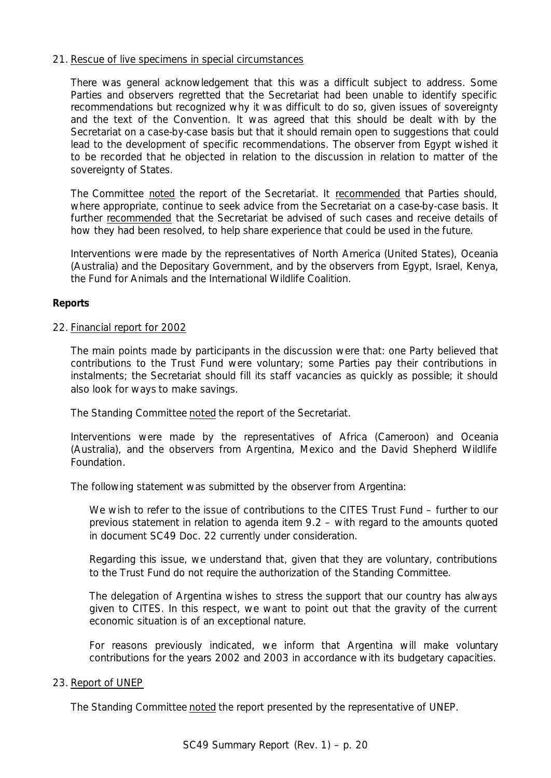## 21. Rescue of live specimens in special circumstances

There was general acknowledgement that this was a difficult subject to address. Some Parties and observers regretted that the Secretariat had been unable to identify specific recommendations but recognized why it was difficult to do so, given issues of sovereignty and the text of the Convention. It was agreed that this should be dealt with by the Secretariat on a case-by-case basis but that it should remain open to suggestions that could lead to the development of specific recommendations. The observer from Egypt wished it to be recorded that he objected in relation to the discussion in relation to matter of the sovereignty of States.

The Committee noted the report of the Secretariat. It recommended that Parties should, where appropriate, continue to seek advice from the Secretariat on a case-by-case basis. It further recommended that the Secretariat be advised of such cases and receive details of how they had been resolved, to help share experience that could be used in the future.

Interventions were made by the representatives of North America (United States), Oceania (Australia) and the Depositary Government, and by the observers from Egypt, Israel, Kenya, the Fund for Animals and the International Wildlife Coalition.

#### **Reports**

#### 22. Financial report for 2002

The main points made by participants in the discussion were that: one Party believed that contributions to the Trust Fund were voluntary; some Parties pay their contributions in instalments; the Secretariat should fill its staff vacancies as quickly as possible; it should also look for ways to make savings.

The Standing Committee noted the report of the Secretariat.

Interventions were made by the representatives of Africa (Cameroon) and Oceania (Australia), and the observers from Argentina, Mexico and the David Shepherd Wildlife Foundation.

The following statement was submitted by the observer from Argentina:

*We wish to refer to the issue of contributions to the CITES Trust Fund – further to our previous statement in relation to agenda item 9.2 – with regard to the amounts quoted in document SC49 Doc. 22 currently under consideration.*

*Regarding this issue, we understand that, given that they are voluntary, contributions to the Trust Fund do not require the authorization of the Standing Committee.*

*The delegation of Argentina wishes to stress the support that our country has always given to CITES. In this respect, we want to point out that the gravity of the current economic situation is of an exceptional nature.*

For reasons previously indicated, we inform that Argentina will make voluntary *contributions for the years 2002 and 2003 in accordance with its budgetary capacities.*

#### 23. Report of UNEP

The Standing Committee noted the report presented by the representative of UNEP.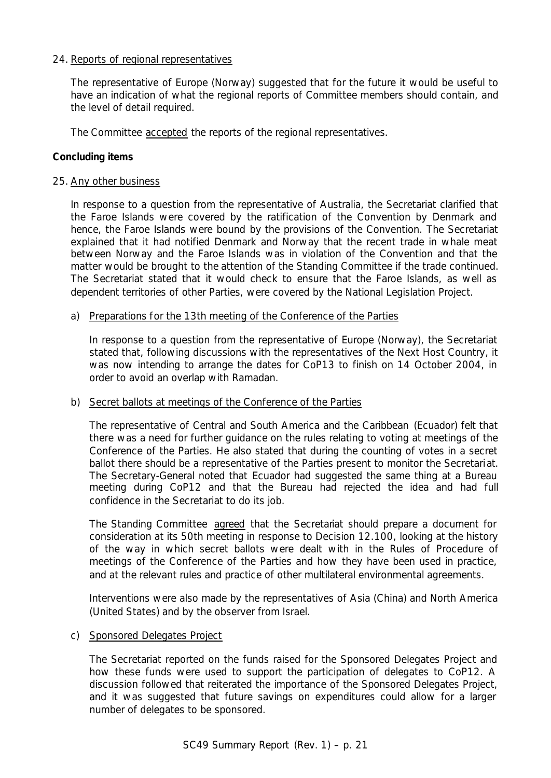## 24. Reports of regional representatives

The representative of Europe (Norway) suggested that for the future it would be useful to have an indication of what the regional reports of Committee members should contain, and the level of detail required.

The Committee accepted the reports of the regional representatives.

# **Concluding items**

## 25. Any other business

In response to a question from the representative of Australia, the Secretariat clarified that the Faroe Islands were covered by the ratification of the Convention by Denmark and hence, the Faroe Islands were bound by the provisions of the Convention. The Secretariat explained that it had notified Denmark and Norway that the recent trade in whale meat between Norway and the Faroe Islands was in violation of the Convention and that the matter would be brought to the attention of the Standing Committee if the trade continued. The Secretariat stated that it would check to ensure that the Faroe Islands, as well as dependent territories of other Parties, were covered by the National Legislation Project.

## a) Preparations for the 13th meeting of the Conference of the Parties

In response to a question from the representative of Europe (Norway), the Secretariat stated that, following discussions with the representatives of the Next Host Country, it was now intending to arrange the dates for CoP13 to finish on 14 October 2004, in order to avoid an overlap with Ramadan.

## b) Secret ballots at meetings of the Conference of the Parties

The representative of Central and South America and the Caribbean (Ecuador) felt that there was a need for further guidance on the rules relating to voting at meetings of the Conference of the Parties. He also stated that during the counting of votes in a secret ballot there should be a representative of the Parties present to monitor the Secretariat. The Secretary-General noted that Ecuador had suggested the same thing at a Bureau meeting during CoP12 and that the Bureau had rejected the idea and had full confidence in the Secretariat to do its job.

The Standing Committee agreed that the Secretariat should prepare a document for consideration at its 50th meeting in response to Decision 12.100, looking at the history of the way in which secret ballots were dealt with in the Rules of Procedure of meetings of the Conference of the Parties and how they have been used in practice, and at the relevant rules and practice of other multilateral environmental agreements.

Interventions were also made by the representatives of Asia (China) and North America (United States) and by the observer from Israel.

## c) Sponsored Delegates Project

The Secretariat reported on the funds raised for the Sponsored Delegates Project and how these funds were used to support the participation of delegates to CoP12. A discussion followed that reiterated the importance of the Sponsored Delegates Project, and it was suggested that future savings on expenditures could allow for a larger number of delegates to be sponsored.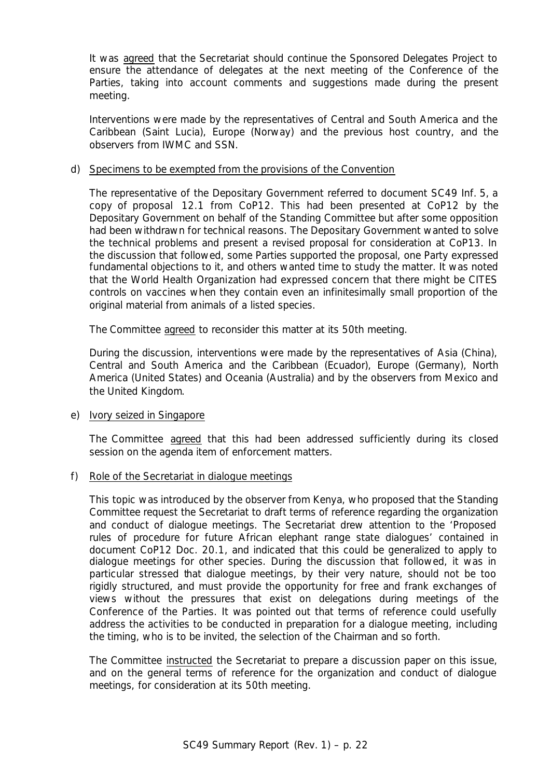It was agreed that the Secretariat should continue the Sponsored Delegates Project to ensure the attendance of delegates at the next meeting of the Conference of the Parties, taking into account comments and suggestions made during the present meeting.

Interventions were made by the representatives of Central and South America and the Caribbean (Saint Lucia), Europe (Norway) and the previous host country, and the observers from IWMC and SSN.

## d) Specimens to be exempted from the provisions of the Convention

The representative of the Depositary Government referred to document SC49 Inf. 5, a copy of proposal 12.1 from CoP12. This had been presented at CoP12 by the Depositary Government on behalf of the Standing Committee but after some opposition had been withdrawn for technical reasons. The Depositary Government wanted to solve the technical problems and present a revised proposal for consideration at CoP13. In the discussion that followed, some Parties supported the proposal, one Party expressed fundamental objections to it, and others wanted time to study the matter. It was noted that the World Health Organization had expressed concern that there might be CITES controls on vaccines when they contain even an infinitesimally small proportion of the original material from animals of a listed species.

The Committee agreed to reconsider this matter at its 50th meeting.

During the discussion, interventions were made by the representatives of Asia (China), Central and South America and the Caribbean (Ecuador), Europe (Germany), North America (United States) and Oceania (Australia) and by the observers from Mexico and the United Kingdom.

## e) Ivory seized in Singapore

The Committee agreed that this had been addressed sufficiently during its closed session on the agenda item of enforcement matters.

## f) Role of the Secretariat in dialogue meetings

This topic was introduced by the observer from Kenya, who proposed that the Standing Committee request the Secretariat to draft terms of reference regarding the organization and conduct of dialogue meetings. The Secretariat drew attention to the 'Proposed rules of procedure for future African elephant range state dialogues' contained in document CoP12 Doc. 20.1, and indicated that this could be generalized to apply to dialogue meetings for other species. During the discussion that followed, it was in particular stressed that dialogue meetings, by their very nature, should not be too rigidly structured, and must provide the opportunity for free and frank exchanges of views without the pressures that exist on delegations during meetings of the Conference of the Parties. It was pointed out that terms of reference could usefully address the activities to be conducted in preparation for a dialogue meeting, including the timing, who is to be invited, the selection of the Chairman and so forth.

The Committee instructed the Secretariat to prepare a discussion paper on this issue, and on the general terms of reference for the organization and conduct of dialogue meetings, for consideration at its 50th meeting.